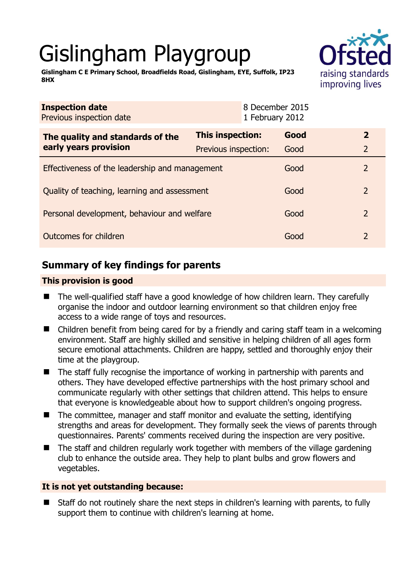# Gislingham Playgroup



**Gislingham C E Primary School, Broadfields Road, Gislingham, EYE, Suffolk, IP23 8HX** 

| This inspection:                               | Good | $\overline{2}$                                                     |
|------------------------------------------------|------|--------------------------------------------------------------------|
| Previous inspection:                           | Good | $\overline{2}$                                                     |
| Effectiveness of the leadership and management |      | 2                                                                  |
| Quality of teaching, learning and assessment   |      | $\overline{2}$                                                     |
| Personal development, behaviour and welfare    |      | $\overline{2}$                                                     |
| Outcomes for children                          |      | $\overline{2}$                                                     |
|                                                |      | 8 December 2015<br>1 February 2012<br>Good<br>Good<br>Good<br>Good |

## **Summary of key findings for parents**

## **This provision is good**

- The well-qualified staff have a good knowledge of how children learn. They carefully organise the indoor and outdoor learning environment so that children enjoy free access to a wide range of toys and resources.
- Children benefit from being cared for by a friendly and caring staff team in a welcoming environment. Staff are highly skilled and sensitive in helping children of all ages form secure emotional attachments. Children are happy, settled and thoroughly enjoy their time at the playgroup.
- The staff fully recognise the importance of working in partnership with parents and others. They have developed effective partnerships with the host primary school and communicate regularly with other settings that children attend. This helps to ensure that everyone is knowledgeable about how to support children's ongoing progress.
- $\blacksquare$  The committee, manager and staff monitor and evaluate the setting, identifying strengths and areas for development. They formally seek the views of parents through questionnaires. Parents' comments received during the inspection are very positive.
- $\blacksquare$  The staff and children regularly work together with members of the village gardening club to enhance the outside area. They help to plant bulbs and grow flowers and vegetables.

### **It is not yet outstanding because:**

 Staff do not routinely share the next steps in children's learning with parents, to fully support them to continue with children's learning at home.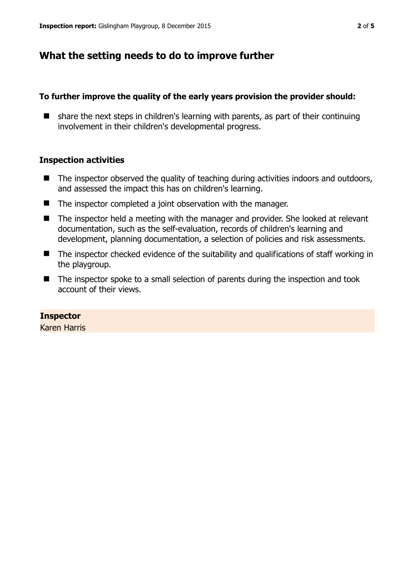## **What the setting needs to do to improve further**

#### **To further improve the quality of the early years provision the provider should:**

 $\blacksquare$  share the next steps in children's learning with parents, as part of their continuing involvement in their children's developmental progress.

#### **Inspection activities**

- $\blacksquare$  The inspector observed the quality of teaching during activities indoors and outdoors, and assessed the impact this has on children's learning.
- The inspector completed a joint observation with the manager.
- The inspector held a meeting with the manager and provider. She looked at relevant documentation, such as the self-evaluation, records of children's learning and development, planning documentation, a selection of policies and risk assessments.
- The inspector checked evidence of the suitability and qualifications of staff working in the playgroup.
- The inspector spoke to a small selection of parents during the inspection and took account of their views.

#### **Inspector**

Karen Harris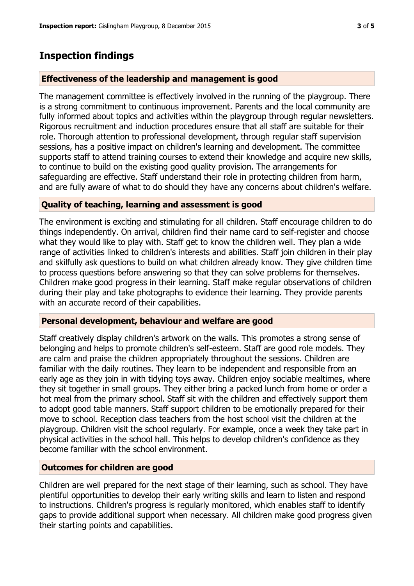## **Inspection findings**

#### **Effectiveness of the leadership and management is good**

The management committee is effectively involved in the running of the playgroup. There is a strong commitment to continuous improvement. Parents and the local community are fully informed about topics and activities within the playgroup through regular newsletters. Rigorous recruitment and induction procedures ensure that all staff are suitable for their role. Thorough attention to professional development, through regular staff supervision sessions, has a positive impact on children's learning and development. The committee supports staff to attend training courses to extend their knowledge and acquire new skills, to continue to build on the existing good quality provision. The arrangements for safeguarding are effective. Staff understand their role in protecting children from harm, and are fully aware of what to do should they have any concerns about children's welfare.

#### **Quality of teaching, learning and assessment is good**

The environment is exciting and stimulating for all children. Staff encourage children to do things independently. On arrival, children find their name card to self-register and choose what they would like to play with. Staff get to know the children well. They plan a wide range of activities linked to children's interests and abilities. Staff join children in their play and skilfully ask questions to build on what children already know. They give children time to process questions before answering so that they can solve problems for themselves. Children make good progress in their learning. Staff make regular observations of children during their play and take photographs to evidence their learning. They provide parents with an accurate record of their capabilities.

#### **Personal development, behaviour and welfare are good**

Staff creatively display children's artwork on the walls. This promotes a strong sense of belonging and helps to promote children's self-esteem. Staff are good role models. They are calm and praise the children appropriately throughout the sessions. Children are familiar with the daily routines. They learn to be independent and responsible from an early age as they join in with tidying toys away. Children enjoy sociable mealtimes, where they sit together in small groups. They either bring a packed lunch from home or order a hot meal from the primary school. Staff sit with the children and effectively support them to adopt good table manners. Staff support children to be emotionally prepared for their move to school. Reception class teachers from the host school visit the children at the playgroup. Children visit the school regularly. For example, once a week they take part in physical activities in the school hall. This helps to develop children's confidence as they become familiar with the school environment.

#### **Outcomes for children are good**

Children are well prepared for the next stage of their learning, such as school. They have plentiful opportunities to develop their early writing skills and learn to listen and respond to instructions. Children's progress is regularly monitored, which enables staff to identify gaps to provide additional support when necessary. All children make good progress given their starting points and capabilities.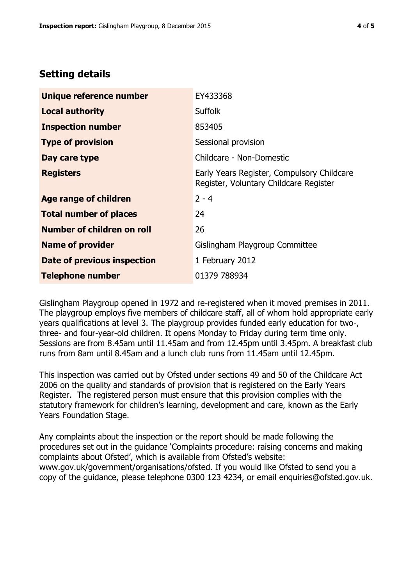## **Setting details**

| Unique reference number       | EY433368                                                                             |
|-------------------------------|--------------------------------------------------------------------------------------|
| <b>Local authority</b>        | <b>Suffolk</b>                                                                       |
| <b>Inspection number</b>      | 853405                                                                               |
| <b>Type of provision</b>      | Sessional provision                                                                  |
| Day care type                 | Childcare - Non-Domestic                                                             |
| <b>Registers</b>              | Early Years Register, Compulsory Childcare<br>Register, Voluntary Childcare Register |
| <b>Age range of children</b>  | $2 - 4$                                                                              |
| <b>Total number of places</b> | 24                                                                                   |
| Number of children on roll    | 26                                                                                   |
| <b>Name of provider</b>       | Gislingham Playgroup Committee                                                       |
| Date of previous inspection   | 1 February 2012                                                                      |
| <b>Telephone number</b>       | 01379 788934                                                                         |

Gislingham Playgroup opened in 1972 and re-registered when it moved premises in 2011. The playgroup employs five members of childcare staff, all of whom hold appropriate early years qualifications at level 3. The playgroup provides funded early education for two-, three- and four-year-old children. It opens Monday to Friday during term time only. Sessions are from 8.45am until 11.45am and from 12.45pm until 3.45pm. A breakfast club runs from 8am until 8.45am and a lunch club runs from 11.45am until 12.45pm.

This inspection was carried out by Ofsted under sections 49 and 50 of the Childcare Act 2006 on the quality and standards of provision that is registered on the Early Years Register. The registered person must ensure that this provision complies with the statutory framework for children's learning, development and care, known as the Early Years Foundation Stage.

Any complaints about the inspection or the report should be made following the procedures set out in the guidance 'Complaints procedure: raising concerns and making complaints about Ofsted', which is available from Ofsted's website: www.gov.uk/government/organisations/ofsted. If you would like Ofsted to send you a copy of the guidance, please telephone 0300 123 4234, or email enquiries@ofsted.gov.uk.